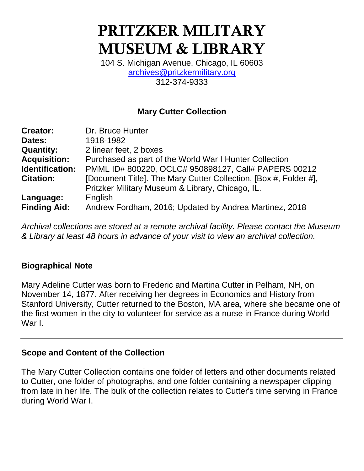# **PRITZKER MILITARY MUSEUM & LIBRARY**

104 S. Michigan Avenue, Chicago, IL 60603 [archives@pritzkermilitary.org](mailto:archives@pritzkermilitary.org) 312-374-9333

# **Mary Cutter Collection**

| <b>Creator:</b>     | Dr. Bruce Hunter                                                 |
|---------------------|------------------------------------------------------------------|
| Dates:              | 1918-1982                                                        |
| <b>Quantity:</b>    | 2 linear feet, 2 boxes                                           |
| <b>Acquisition:</b> | Purchased as part of the World War I Hunter Collection           |
| Identification:     | PMML ID# 800220, OCLC# 950898127, Call# PAPERS 00212             |
| <b>Citation:</b>    | [Document Title]. The Mary Cutter Collection, [Box #, Folder #], |
|                     | Pritzker Military Museum & Library, Chicago, IL.                 |
| Language:           | English                                                          |
| <b>Finding Aid:</b> | Andrew Fordham, 2016; Updated by Andrea Martinez, 2018           |

*Archival collections are stored at a remote archival facility. Please contact the Museum & Library at least 48 hours in advance of your visit to view an archival collection.*

### **Biographical Note**

Mary Adeline Cutter was born to Frederic and Martina Cutter in Pelham, NH, on November 14, 1877. After receiving her degrees in Economics and History from Stanford University, Cutter returned to the Boston, MA area, where she became one of the first women in the city to volunteer for service as a nurse in France during World War I.

### **Scope and Content of the Collection**

The Mary Cutter Collection contains one folder of letters and other documents related to Cutter, one folder of photographs, and one folder containing a newspaper clipping from late in her life. The bulk of the collection relates to Cutter's time serving in France during World War I.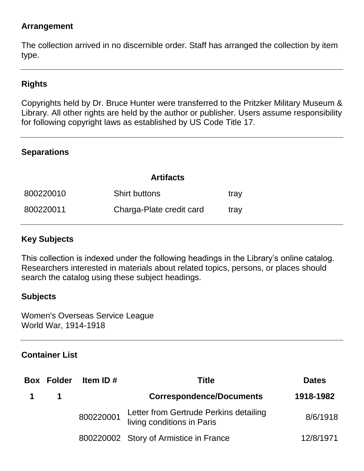# **Arrangement**

The collection arrived in no discernible order. Staff has arranged the collection by item type.

# **Rights**

Copyrights held by Dr. Bruce Hunter were transferred to the Pritzker Military Museum & Library. All other rights are held by the author or publisher. Users assume responsibility for following copyright laws as established by US Code Title 17.

### **Separations**

#### **Artifacts**

| 800220010 | <b>Shirt buttons</b>     | tray |
|-----------|--------------------------|------|
| 800220011 | Charga-Plate credit card | tray |

### **Key Subjects**

This collection is indexed under the following headings in the Library's online catalog. Researchers interested in materials about related topics, persons, or places should search the catalog using these subject headings.

### **Subjects**

Women's Overseas Service League World War, 1914-1918

### **Container List**

| <b>Box Folder</b> | Item ID $#$ | <b>Title</b>                                                         | <b>Dates</b> |
|-------------------|-------------|----------------------------------------------------------------------|--------------|
|                   |             | <b>Correspondence/Documents</b>                                      | 1918-1982    |
|                   | 800220001   | Letter from Gertrude Perkins detailing<br>living conditions in Paris | 8/6/1918     |
|                   |             | 800220002 Story of Armistice in France                               | 12/8/1971    |